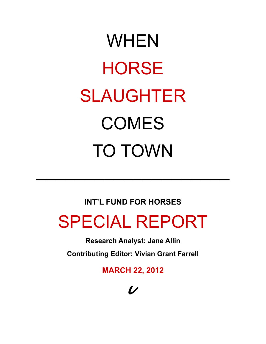# WHEN **HORSE** SLAUGHTER COMES TO TOWN

### **INT'L FUND FOR HORSES**

 $\mathcal{L}_\text{max}$  and  $\mathcal{L}_\text{max}$  are the set of  $\mathcal{L}_\text{max}$  and  $\mathcal{L}_\text{max}$  are the set of  $\mathcal{L}_\text{max}$ 

# SPECIAL REPORT

**Research Analyst: Jane Allin**

**Contributing Editor: Vivian Grant Farrell**

**MARCH 22, 2012**

## $\boldsymbol{L}$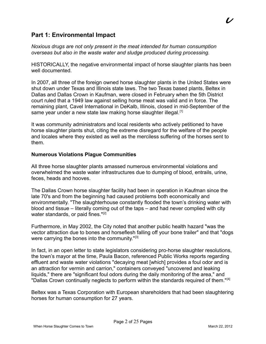#### **Part 1: Environmental Impact**

*Noxious drugs are not only present in the meat intended for human consumption overseas but also in the waste water and sludge produced during processing.*

HISTORICALLY, the negative environmental impact of horse slaughter plants has been well documented.

In 2007, all three of the foreign owned horse slaughter plants in the United States were shut down under Texas and Illinois state laws. The two Texas based plants, Beltex in Dallas and Dallas Crown in Kaufman, were closed in February when the 5th District court ruled that a 1949 law against selling horse meat was valid and in force. The remaining plant, Cavel International in DeKalb, Illinois, closed in mid-September of the same year under a new state law making horse slaughter illegal.<sup>[1]</sup>

It was community administrators and local residents who actively petitioned to have horse slaughter plants shut, citing the extreme disregard for the welfare of the people and locales where they existed as well as the merciless suffering of the horses sent to them.

#### **Numerous Violations Plague Communities**

All three horse slaughter plants amassed numerous environmental violations and overwhelmed the waste water infrastructures due to dumping of blood, entrails, urine, feces, heads and hooves.

The Dallas Crown horse slaughter facility had been in operation in Kaufman since the late 70's and from the beginning had caused problems both economically and environmentally. "The slaughterhouse constantly flooded the town's drinking water with blood and tissue – literally coming out of the taps – and had never complied with city water standards, or paid fines."<sup>[2]</sup>

Furthermore, in May 2002, the City noted that another public health hazard "was the vector attraction due to bones and horseflesh falling off your bone trailer" and that "dogs were carrying the bones into the community."<sup>[3]</sup>

In fact, in an open letter to state legislators considering pro-horse slaughter resolutions, the town's mayor at the time, Paula Bacon, referenced Public Works reports regarding effluent and waste water violations "decaying meat [which] provides a foul odor and is an attraction for vermin and carrion," containers conveyed "uncovered and leaking liquids," there are "significant foul odors during the daily monitoring of the area," and "Dallas Crown continually neglects to perform within the standards required of them."<sup>[4]</sup>

Beltex was a Texas Corporation with European shareholders that had been slaughtering horses for human consumption for 27 years.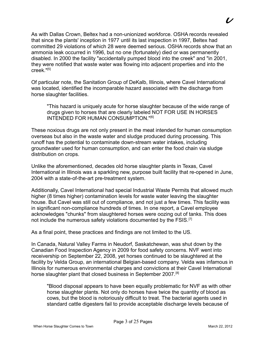As with Dallas Crown, Beltex had a non-unionized workforce. OSHA records revealed that since the plants' inception in 1977 until its last inspection in 1997, Beltex had committed 29 violations of which 28 were deemed serious. OSHA records show that an ammonia leak occurred in 1996, but no one (fortunately) died or was permanently disabled. In 2000 the facility "accidentally pumped blood into the creek" and "in 2001, they were notified that waste water was flowing into adjacent properties and into the  $creek$  "[5]

Of particular note, the Sanitation Group of DeKalb, Illinois, where Cavel International was located, identified the incomparable hazard associated with the discharge from horse slaughter facilities.

"This hazard is uniquely acute for horse slaughter because of the wide range of drugs given to horses that are clearly labeled NOT FOR USE IN HORSES INTENDED FOR HUMAN CONSUMPTION."<sup>[6]</sup>

These noxious drugs are not only present in the meat intended for human consumption overseas but also in the waste water and sludge produced during processing. This runoff has the potential to contaminate down-stream water intakes, including groundwater used for human consumption, and can enter the food chain via sludge distribution on crops.

Unlike the aforementioned, decades old horse slaughter plants in Texas, Cavel International in Illinois was a sparkling new, purpose built facility that re-opened in June, 2004 with a state-of-the-art pre-treatment system.

Additionally, Cavel International had special Industrial Waste Permits that allowed much higher (8 times higher) contamination levels for waste water leaving the slaughter house. But Cavel was still out of compliance, and not just a few times. This facility was in significant non-compliance hundreds of times. In one report, a Cavel employee acknowledges "chunks" from slaughtered horses were oozing out of tanks. This does not include the numerous safety violations documented by the FSIS.<sup>[7]</sup>

As a final point, these practices and findings are not limited to the US.

In Canada, Natural Valley Farms in Neudorf, Saskatchewan, was shut down by the Canadian Food Inspection Agency in 2009 for food safety concerns. NVF went into receivership on September 22, 2008, yet horses continued to be slaughtered at the facility by Velda Group, an international Belgian-based company. Velda was infamous in Illinois for numerous environmental charges and convictions at their Cavel International horse slaughter plant that closed business in September 2007.<sup>[8]</sup>

"Blood disposal appears to have been equally problematic for NVF as with other horse slaughter plants. Not only do horses have twice the quantity of blood as cows, but the blood is notoriously difficult to treat. The bacterial agents used in standard cattle digesters fail to provide acceptable discharge levels because of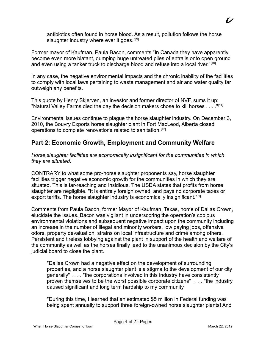antibiotics often found in horse blood. As a result, pollution follows the horse slaughter industry where ever it goes."<sup>[9]</sup>

Former mayor of Kaufman, Paula Bacon, comments "In Canada they have apparently become even more blatant, dumping huge untreated piles of entrails onto open ground and even using a tanker truck to discharge blood and refuse into a local river."<sup>[10]</sup>

In any case, the negative environmental impacts and the chronic inability of the facilities to comply with local laws pertaining to waste management and air and water quality far outweigh any benefits.

This quote by Henry Skjerven, an investor and former director of NVF, sums it up: "Natural Valley Farms died the day the decision makers chose to kill horses . . . ."[11]

Environmental issues continue to plague the horse slaughter industry. On December 3, 2010, the Bouvry Exports horse slaughter plant in Fort MacLeod, Alberta closed operations to complete renovations related to sanitation.<sup>[12]</sup>

#### **Part 2: Economic Growth, Employment and Community Welfare**

*Horse slaughter facilities are economically insignificant for the communities in which they are situated.*

CONTRARY to what some pro-horse slaughter proponents say, horse slaughter facilities trigger negative economic growth for the communities in which they are situated. This is far-reaching and insidious. The USDA states that profits from horse slaughter are negligible. "It is entirely foreign owned, and pays no corporate taxes or export tariffs. The horse slaughter industry is economically insignificant."[1]

Comments from Paula Bacon, former Mayor of Kaufman, Texas, home of Dallas Crown, elucidate the issues. Bacon was vigilant in underscoring the operation's copious environmental violations and subsequent negative impact upon the community including an increase in the number of illegal and minority workers, low paying jobs, offensive odors, property devaluation, strains on local infrastructure and crime among others. Persistent and tireless lobbying against the plant in support of the health and welfare of the community as well as the horses finally lead to the unanimous decision by the City's judicial board to close the plant.

"Dallas Crown had a negative effect on the development of surrounding properties, and a horse slaughter plant is a stigma to the development of our city generally" . . . . "the corporations involved in this industry have consistently proven themselves to be the worst possible corporate citizens" . . . . "the industry caused significant and long term hardship to my community.

"During this time, I learned that an estimated \$5 million in Federal funding was being spent annually to support three foreign-owned horse slaughter plants! And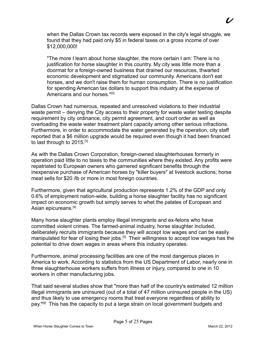when the Dallas Crown tax records were exposed in the city's legal struggle, we found that they had paid only \$5 in federal taxes on a gross income of over \$12,000,000!

"The more I learn about horse slaughter, the more certain I am: There is no justification for horse slaughter in this country. My city was little more than a doormat for a foreign-owned business that drained our resources, thwarted economic development and stigmatized our community. Americans don't eat horses, and we don't raise them for human consumption. There is no justification for spending American tax dollars to support this industry at the expense of Americans and our horses."<sup>[2]</sup>

Dallas Crown had numerous, repeated and unresolved violations to their industrial waste permit – denying the City access to their property for waste water testing despite requirement by city ordinance, city permit agreement, and court order as well as overloading the waste water treatment plant capacity among other serious infractions. Furthermore, in order to accommodate the water generated by the operation, city staff reported that a \$6 million upgrade would be required even though it had been financed to last through to 2015.<sup>[3]</sup>

As with the Dallas Crown Corporation, foreign-owned slaughterhouses formerly in operation paid little to no taxes to the communities where they existed. Any profits were repatriated to European owners who garnered significant benefits through the inexpensive purchase of American horses by "killer buyers" at livestock auctions; horse meat sells for \$20 /lb or more in most foreign countries.

Furthermore, given that agricultural production represents 1.2% of the GDP and only 0.6% of employment nation-wide, building a horse slaughter facility has no significant impact on economic growth but simply serves to whet the palates of European and Asian epicureans.<sup>[4]</sup>

Many horse slaughter plants employ illegal immigrants and ex-felons who have committed violent crimes. The farmed-animal industry, horse slaughter included, deliberately recruits immigrants because they will accept low wages and can be easily manipulated for fear of losing their jobs.<sup>[5]</sup> Their willingness to accept low wages has the potential to drive down wages in areas where this industry operates.

Furthermore, animal processing facilities are one of the most dangerous places in America to work. According to statistics from the US Department of Labor, nearly one in three slaughterhouse workers suffers from illness or injury, compared to one in 10 workers in other manufacturing jobs.

That said several studies show that "more than half of the country's estimated 12 million illegal immigrants are uninsured (out of a total of 47 million uninsured people in the US) and thus likely to use emergency rooms that treat everyone regardless of ability to pay."<sup>[6]</sup> This has the capacity to put a large strain on local government budgets and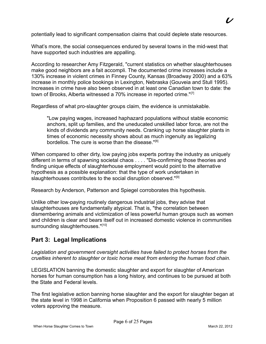potentially lead to significant compensation claims that could deplete state resources.

What's more, the social consequences endured by several towns in the mid-west that have supported such industries are appalling.

According to researcher Amy Fitzgerald, "current statistics on whether slaughterhouses make good neighbors are a fait accompli. The documented crime increases include a 130% increase in violent crimes in Finney County, Kansas (Broadway 2000) and a 63% increase in monthly police bookings in Lexington, Nebraska (Gouveia and Stull 1995). Increases in crime have also been observed in at least one Canadian town to date: the town of Brooks, Alberta witnessed a 70% increase in reported crime."<sup>[7]</sup>

Regardless of what pro-slaughter groups claim, the evidence is unmistakable.

"Low paying wages, increased haphazard populations without stable economic anchors, split up families, and the uneducated unskilled labor force, are not the kinds of dividends any community needs. Cranking up horse slaughter plants in times of economic necessity shows about as much ingenuity as legalizing bordellos. The cure is worse than the disease.  $"^{[8]}$ 

When compared to other dirty, low paying jobs experts portray the industry as uniquely different in terms of spawning societal chaos . . . . "Dis-confirming those theories and finding unique effects of slaughterhouse employment would point to the alternative hypothesis as a possible explanation: that the type of work undertaken in slaughterhouses contributes to the social disruption observed."<sup>[9]</sup>

Research by Anderson, Patterson and Spiegel corroborates this hypothesis.

Unlike other low-paying routinely dangerous industrial jobs, they advise that slaughterhouses are fundamentally atypical. That is, "the correlation between dismembering animals and victimization of less powerful human groups such as women and children is clear and bears itself out in increased domestic violence in communities surrounding slaughterhouses."[10]

#### **Part 3: Legal Implications**

*Legislation and government oversight activities have failed to protect horses from the cruelties inherent to slaughter or toxic horse meat from entering the human food chain.*

LEGISLATION banning the domestic slaughter and export for slaughter of American horses for human consumption has a long history, and continues to be pursued at both the State and Federal levels.

The first legislative action banning horse slaughter and the export for slaughter began at the state level in 1998 in California when Proposition 6 passed with nearly 5 million voters approving the measure.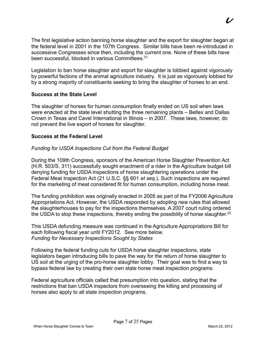The first legislative action banning horse slaughter and the export for slaughter began at the federal level in 2001 in the 107th Congress. Similar bills have been re-introduced in successive Congresses since then, including the current one. None of these bills have been successful, blocked in various Committees.<sup>[1]</sup>

Legislation to ban horse slaughter and export for slaughter is lobbied against vigorously by powerful factions of the animal agriculture industry. It is just as vigorously lobbied for by a strong majority of constituents seeking to bring the slaughter of horses to an end.

#### **Success at the State Level**

The slaughter of horses for human consumption finally ended on US soil when laws were enacted at the state level shutting the three remaining plants – Beltex and Dallas Crown in Texas and Cavel International in Illinois – in 2007. These laws, however, do not prevent the live export of horses for slaughter.

#### **Success at the Federal Level**

#### *Funding for USDA Inspections Cut from the Federal Budget*

During the 109th Congress, sponsors of the American Horse Slaughter Prevention Act (H.R. 503/S. 311) successfully sought enactment of a rider in the Agriculture budget bill denying funding for USDA inspections of horse slaughtering operations under the Federal Meat Inspection Act (21 U.S.C. §§ 601 *et seq*.). Such inspections are required for the marketing of meat considered fit for human consumption, including horse meat.

The funding prohibition was originally enacted in 2005 as part of the FY2006 Agriculture Appropriations Act. However, the USDA responded by adopting new rules that allowed the slaughterhouses to pay for the inspections themselves. A 2007 court ruling ordered the USDA to stop these inspections, thereby ending the possibility of horse slaughter.<sup>[2]</sup>

This USDA defunding measure was continued in the Agriculture Appropriations Bill for each following fiscal year until FY2012. See more below. *Funding for Necessary Inspections Sought by States*

Following the federal funding cuts for USDA horse slaughter inspections, state legislators began introducing bills to pave the way for the return of horse slaughter to US soil at the urging of the pro-horse slaughter lobby. Their goal was to find a way to bypass federal law by creating their own state horse meat inspection programs.

Federal agriculture officials called that presumption into question, stating that the restrictions that ban USDA inspectors from overseeing the killing and processing of horses also apply to all state inspection programs.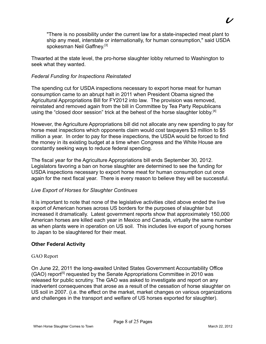"There is no possibility under the current law for a state-inspected meat plant to ship any meat, interstate or internationally, for human consumption," said USDA spokesman Neil Gaffney.<sup>[3]</sup>

Thwarted at the state level, the pro-horse slaughter lobby returned to Washington to seek what they wanted.

#### *Federal Funding for Inspections Reinstated*

The spending cut for USDA inspections necessary to export horse meat for human consumption came to an abrupt halt in 2011 when President Obama signed the Agricultural Appropriations Bill for FY2012 into law. The provision was removed, reinstated and removed again from the bill in Committee by Tea Party Republicans using the "closed door session" trick at the behest of the horse slaughter lobby.<sup>[4]</sup>

However, the Agriculture Appropriations bill did not allocate any new spending to pay for horse meat inspections which opponents claim would cost taxpayers \$3 million to \$5 million a year. In order to pay for these inspections, the USDA would be forced to find the money in its existing budget at a time when Congress and the White House are constantly seeking ways to reduce federal spending.

The fiscal year for the Agriculture Appropriations bill ends September 30, 2012. Legislators favoring a ban on horse slaughter are determined to see the funding for USDA inspections necessary to export horse meat for human consumption cut once again for the next fiscal year. There is every reason to believe they will be successful.

#### *Live Export of Horses for Slaughter Continues*

It is important to note that none of the legislative activities cited above ended the live export of American horses across US borders for the purposes of slaughter but increased it dramatically. Latest government reports show that approximately 150,000 American horses are killed each year in Mexico and Canada, virtually the same number as when plants were in operation on US soil. This includes live export of young horses to Japan to be slaughtered for their meat.

#### **Other Federal Activity**

#### GAO Report

On June 22, 2011 the long-awaited United States Government Accountability Office (GAO) report<sup>[5]</sup> requested by the Senate Appropriations Committee in 2010 was released for public scrutiny. The GAO was asked to investigate and report on any inadvertent consequences that arose as a result of the cessation of horse slaughter on US soil in 2007. (i.e. the effect on the market, market changes on various organizations and challenges in the transport and welfare of US horses exported for slaughter).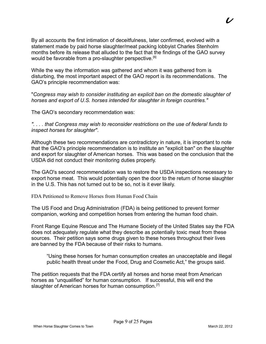By all accounts the first intimation of deceitfulness, later confirmed, evolved with a statement made by paid horse slaughter/meat packing lobbyist Charles Stenholm months before its release that alluded to the fact that the findings of the GAO survey would be favorable from a pro-slaughter perspective.<sup>[6]</sup>

While the way the information was gathered and whom it was gathered from is disturbing, the most important aspect of the GAO report is its recommendations. The GAO's principle recommendation was:

"*Congress may wish to consider instituting an explicit ban on the domestic slaughter of horses and export of U.S. horses intended for slaughter in foreign countries."* 

The GAO's secondary recommendation was:

*". . . . that Congress may wish to reconsider restrictions on the use of federal funds to inspect horses for slaughter"*.

Although these two recommendations are contradictory in nature, it is important to note that the GAO's principle recommendation is to institute an "explicit ban" on the slaughter and export for slaughter of American horses. This was based on the conclusion that the USDA did not conduct their monitoring duties properly.

The GAO's second recommendation was to restore the USDA inspections necessary to export horse meat. This would potentially open the door to the return of horse slaughter in the U.S. This has not turned out to be so, not is it ever likely.

FDA Petitioned to Remove Horses from Human Food Chain

The US Food and Drug Administration (FDA) is being petitioned to prevent former companion, working and competition horses from entering the human food chain.

Front Range Equine Rescue and The Humane Society of the United States say the FDA does not adequately regulate what they describe as potentially toxic meat from these sources. Their petition says some drugs given to these horses throughout their lives are banned by the FDA because of their risks to humans.

"Using these horses for human consumption creates an unacceptable and illegal public health threat under the Food, Drug and Cosmetic Act," the groups said.

The petition requests that the FDA certify all horses and horse meat from American horses as "unqualified" for human consumption. If successful, this will end the slaughter of American horses for human consumption.<sup>[7]</sup>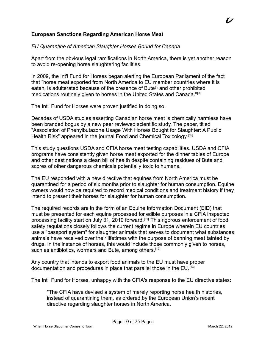#### **European Sanctions Regarding American Horse Meat**

#### *EU Quarantine of American Slaughter Horses Bound for Canada*

Apart from the obvious legal ramifications in North America, there is yet another reason to avoid re-opening horse slaughtering facilities.

In 2009, the Int'l Fund for Horses began alerting the European Parliament of the fact that "horse meat exported from North America to EU member countries where it is eaten, is adulterated because of the presence of Bute<sup>[8]</sup> and other prohibited medications routinely given to horses in the United States and Canada."[9]

The Int'l Fund for Horses were proven justified in doing so.

Decades of USDA studies asserting Canadian horse meat is chemically harmless have been branded bogus by a new peer reviewed scientific study. The paper, titled "Association of Phenylbutazone Usage With Horses Bought for Slaughter: A Public Health Risk" appeared in the journal Food and Chemical Toxicology.<sup>[10]</sup>

This study questions USDA and CFIA horse meat testing capabilities. USDA and CFIA programs have consistently given horse meat exported for the dinner tables of Europe and other destinations a clean bill of health despite containing residues of Bute and scores of other dangerous chemicals potentially toxic to humans.

The EU responded with a new directive that equines from North America must be quarantined for a period of six months prior to slaughter for human consumption. Equine owners would now be required to record medical conditions and treatment history if they intend to present their horses for slaughter for human consumption.

The required records are in the form of an Equine Information Document (EID) that must be presented for each equine processed for edible purposes in a CFIA inspected processing facility start on July 31, 2010 forward.<sup>[11]</sup> This rigorous enforcement of food safety regulations closely follows the current regime in Europe wherein EU countries use a "passport system" for slaughter animals that serves to document what substances animals have received over their lifetimes with the purpose of banning meat tainted by drugs. In the instance of horses, this would include those commonly given to horses, such as antibiotics, wormers and Bute, among others.<sup>[12]</sup>

Any country that intends to export food animals to the EU must have proper documentation and procedures in place that parallel those in the EU.<sup>[13]</sup>

The Int'l Fund for Horses, unhappy with the CFIA's response to the EU directive states:

"The CFIA have devised a system of merely reporting horse health histories, instead of quarantining them, as ordered by the European Union's recent directive regarding slaughter horses in North America.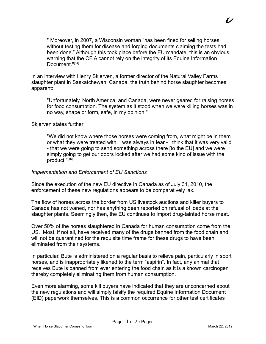" Moreover, in 2007, a Wisconsin woman "has been fined for selling horses without testing them for disease and forging documents claiming the tests had been done." Although this took place before the EU mandate, this is an obvious warning that the CFIA cannot rely on the integrity of its Equine Information Document."[14]

In an interview with Henry Skjerven, a former director of the Natural Valley Farms slaughter plant in Saskatchewan, Canada, the truth behind horse slaughter becomes apparent:

"Unfortunately, North America, and Canada, were never geared for raising horses for food consumption. The system as it stood when we were killing horses was in no way, shape or form, safe, in my opinion."

Skjerven states further:

"We did not know where those horses were coming from, what might be in them or what they were treated with. I was always in fear - I think that it was very valid - that we were going to send something across there [to the EU] and we were simply going to get our doors locked after we had some kind of issue with the product."[15]

#### *Implementation and Enforcement of EU Sanctions*

Since the execution of the new EU directive in Canada as of July 31, 2010, the enforcement of these new regulations appears to be comparatively lax.

The flow of horses across the border from US livestock auctions and killer buyers to Canada has not waned, nor has anything been reported on refusal of loads at the slaughter plants. Seemingly then, the EU continues to import drug-tainted horse meat.

Over 50% of the horses slaughtered in Canada for human consumption come from the US. Most, if not all, have received many of the drugs banned from the food chain and will not be quarantined for the requisite time frame for these drugs to have been eliminated from their systems.

In particular, Bute is administered on a regular basis to relieve pain, particularly in sport horses, and is inappropriately likened to the term "aspirin". In fact, any animal that receives Bute is banned from ever entering the food chain as it is a known carcinogen thereby completely eliminating them from human consumption.

Even more alarming, some kill buyers have indicated that they are unconcerned about the new regulations and will simply falsify the required Equine Information Document (EID) paperwork themselves. This is a common occurrence for other test certificates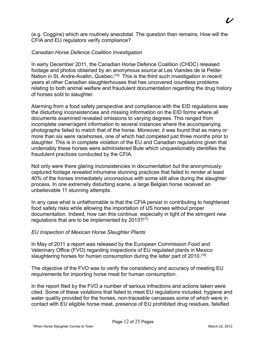(e.g. Coggins) which are routinely anecdotal. The question then remains. How will the CFIA and EU regulators verify compliance?

#### *Canadian Horse Defence Coalition Investigation*

In early December 2011, the Canadian Horse Defence Coalition (CHDC) released footage and photos obtained by an anonymous source at Les Viandes de la Petite-Nation in St. Andre-Avallin, Quebec.<sup>[16]</sup> This is the third such investigation in recent years at other Canadian slaughterhouses that has uncovered countless problems relating to both animal welfare and fraudulent documentation regarding the drug history of horses sold to slaughter.

Alarming from a food safety perspective and compliance with the EID regulations was the disturbing inconsistencies and missing information on the EID forms where all documents examined revealed omissions to varying degrees. This ranged from incomplete owner/agent information to several instances where the accompanying photographs failed to match that of the horse. Moreover, it was found that as many or more than six were racehorses, one of which had competed just three months prior to slaughter. This is in complete violation of the EU and Canadian regulations given that undeniably these horses were administered Bute which unquestionably identifies the fraudulent practices conducted by the CFIA.

Not only were there glaring inconsistencies in documentation but the anonymouslycaptured footage revealed inhumane stunning practices that failed to render at least 40% of the horses immediately unconscious with some still alive during the slaughter process. In one extremely disturbing scene, a large Belgian horse received an unbelievable 11 stunning attempts.

In any case what is unfathomable is that the CFIA persist in contributing to heightened food safety risks while allowing the importation of US horses without proper documentation. Indeed, how can this continue, especially in light of the stringent new regulations that are to be implemented by 2013?<sup>[17]</sup>

#### *EU Inspection of Mexican Horse Slaughter Plants*

In May of 2011 a report was released by the European Commission Food and Veterinary Office (FVO) regarding inspections of EU regulated plants in Mexico slaughtering horses for human consumption during the latter part of 2010.<sup>[18]</sup>

The objective of the FVO was to verify the consistency and accuracy of meeting EU requirements for importing horse meat for human consumption.

In the report filed by the FVO a number of serious infractions and actions taken were cited. Some of these violations that failed to meet EU regulations included; hygiene and water quality provided for the horses, non-traceable carcasses some of which were in contact with EU eligible horse meat, presence of EU prohibited drug residues, falsified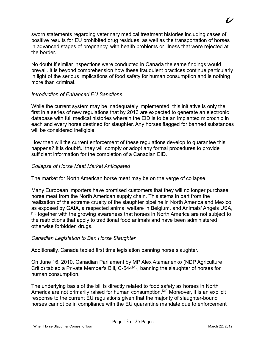sworn statements regarding veterinary medical treatment histories including cases of positive results for EU prohibited drug residues; as well as the transportation of horses in advanced stages of pregnancy, with health problems or illness that were rejected at the border.

No doubt if similar inspections were conducted in Canada the same findings would prevail. It is beyond comprehension how these fraudulent practices continue particularly in light of the serious implications of food safety for human consumption and is nothing more than criminal.

#### *Introduction of Enhanced EU Sanctions*

While the current system may be inadequately implemented, this initiative is only the first in a series of new regulations that by 2013 are expected to generate an electronic database with full medical histories wherein the EID is to be an implanted microchip in each and every horse destined for slaughter. Any horses flagged for banned substances will be considered ineligible.

How then will the current enforcement of these regulations develop to guarantee this happens? It is doubtful they will comply or adopt any formal procedures to provide sufficient information for the completion of a Canadian EID.

#### *Collapse of Horse Meat Market Anticipated*

The market for North American horse meat may be on the verge of collapse.

Many European importers have promised customers that they will no longer purchase horse meat from the North American supply chain. This stems in part from the realization of the extreme cruelty of the slaughter pipeline in North America and Mexico, as exposed by GAIA, a respected animal welfare in Belgium, and Animals' Angels USA, <sup>[19]</sup> together with the growing awareness that horses in North America are not subject to the restrictions that apply to traditional food animals and have been administered otherwise forbidden drugs.

#### *Canadian Legislation to Ban Horse Slaughter*

Additionally, Canada tabled first time legislation banning horse slaughter.

On June 16, 2010, Canadian Parliament by MP Alex Atamanenko (NDP Agriculture Critic) tabled a Private Member's Bill, C-544<sup>[20]</sup>, banning the slaughter of horses for human consumption.

The underlying basis of the bill is directly related to food safety as horses in North America are not primarily raised for human consumption.<sup>[21]</sup> Moreover, it is an explicit response to the current EU regulations given that the majority of slaughter-bound horses cannot be in compliance with the EU quarantine mandate due to enforcement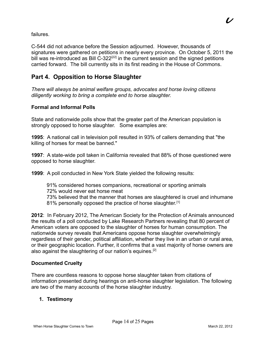failures.

C-544 did not advance before the Session adjourned. However, thousands of signatures were gathered on petitions in nearly every province. On October 5, 2011 the bill was re-introduced as Bill  $C$ -322<sup>[22]</sup> in the current session and the signed petitions carried forward. The bill currently sits in its first reading in the House of Commons.

#### **Part 4. Opposition to Horse Slaughter**

*There will always be animal welfare groups, advocates and horse loving citizens diligently working to bring a complete end to horse slaughter.*

#### **Formal and Informal Polls**

State and nationwide polls show that the greater part of the American population is strongly opposed to horse slaughter. Some examples are:

**1995**:A national call in television poll resulted in 93% of callers demanding that "the killing of horses for meat be banned."

**1997**:A state-wide poll taken in California revealed that 88% of those questioned were opposed to horse slaughter.

**1999**:A poll conducted in New York State yielded the following results:

- 91% considered horses companions, recreational or sporting animals 72% would never eat horse meat
- 73% believed that the manner that horses are slaughtered is cruel and inhumane 81% personally opposed the practice of horse slaughter.<sup>[1]</sup>

**2012**: In February 2012, The American Society for the Protection of Animals announced the results of a poll conducted by Lake Research Partners revealing that 80 percent of American voters are opposed to the slaughter of horses for human consumption. The nationwide survey reveals that Americans oppose horse slaughter overwhelmingly regardless of their gender, political affiliation, whether they live in an urban or rural area, or their geographic location. Further, it confirms that a vast majority of horse owners are also against the slaughtering of our nation's equines.<sup>[2]</sup>

#### **Documented Cruelty**

There are countless reasons to oppose horse slaughter taken from citations of information presented during hearings on anti-horse slaughter legislation. The following are two of the many accounts of the horse slaughter industry.

#### **1. Testimony**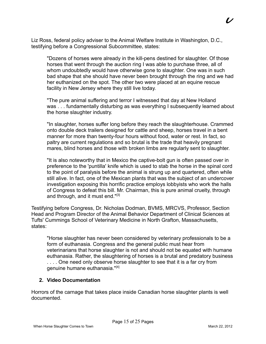Liz Ross, federal policy adviser to the Animal Welfare Institute in Washington, D.C., testifying before a Congressional Subcommittee, states:

"Dozens of horses were already in the kill-pens destined for slaughter. Of those horses that went through the auction ring I was able to purchase three, all of whom undoubtedly would have otherwise gone to slaughter. One was in such bad shape that she should have never been brought through the ring and we had her euthanized on the spot. The other two were placed at an equine rescue facility in New Jersey where they still live today.

"The pure animal suffering and terror I witnessed that day at New Holland was . . . fundamentally disturbing as was everything I subsequently learned about the horse slaughter industry.

"In slaughter, horses suffer long before they reach the slaughterhouse. Crammed onto double deck trailers designed for cattle and sheep, horses travel in a bent manner for more than twenty-four hours without food, water or rest. In fact, so paltry are current regulations and so brutal is the trade that heavily pregnant mares, blind horses and those with broken limbs are regularly sent to slaughter.

"It is also noteworthy that in Mexico the captive-bolt gun is often passed over in preference to the 'puntilla' knife which is used to stab the horse in the spinal cord to the point of paralysis before the animal is strung up and quartered, often while still alive. In fact, one of the Mexican plants that was the subject of an undercover investigation exposing this horrific practice employs lobbyists who work the halls of Congress to defeat this bill. Mr. Chairman, this is pure animal cruelty, through and through, and it must end."<sup>[3]</sup>

Testifying before Congress, Dr. Nicholas Dodman, BVMS, MRCVS, Professor, Section Head and Program Director of the Animal Behavior Department of Clinical Sciences at Tufts' Cummings School of Veterinary Medicine in North Grafton, Massachusetts, states:

"Horse slaughter has never been considered by veterinary professionals to be a form of euthanasia. Congress and the general public must hear from veterinarians that horse slaughter is not and should not be equated with humane euthanasia. Rather, the slaughtering of horses is a brutal and predatory business .... One need only observe horse slaughter to see that it is a far cry from genuine humane euthanasia."[4]

#### **2. Video Documentation**

Horrors of the carnage that takes place inside Canadian horse slaughter plants is well documented.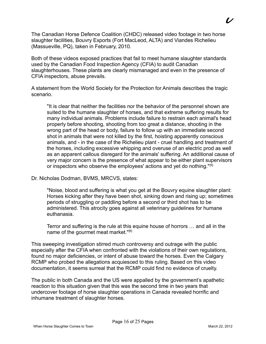The Canadian Horse Defence Coalition (CHDC) released video footage in two horse slaughter facilities, Bouvry Exports (Fort MacLeod, ALTA) and Viandes Richelieu (Massueville, PQ), taken in February, 2010.

Both of these videos exposed practices that fail to meet humane slaughter standards used by the Canadian Food Inspection Agency (CFIA) to audit Canadian slaughterhouses. These plants are clearly mismanaged and even in the presence of CFIA inspectors, abuse prevails.

A statement from the World Society for the Protection for Animals describes the tragic scenario.

"It is clear that neither the facilities nor the behavior of the personnel shown are suited to the humane slaughter of horses, and that extreme suffering results for many individual animals. Problems include failure to restrain each animal's head properly before shooting, shooting from too great a distance, shooting in the wrong part of the head or body, failure to follow up with an immediate second shot in animals that were not killed by the first, hoisting apparently conscious animals, and - in the case of the Richelieu plant - cruel handling and treatment of the horses, including excessive whipping and overuse of an electric prod as well as an apparent callous disregard for the animals' suffering. An additional cause of very major concern is the presence of what appear to be either plant supervisors or inspectors who observe the employees' actions and yet do nothing."<sup>[5]</sup>

Dr. Nicholas Dodman, BVMS, MRCVS, states:

"Noise, blood and suffering is what you get at the Bouvry equine slaughter plant: Horses kicking after they have been shot, sinking down and rising up; sometimes periods of struggling or paddling before a second or third shot has to be administered. This atrocity goes against all veterinary guidelines for humane euthanasia.

Terror and suffering is the rule at this equine house of horrors … and all in the name of the gourmet meat market."<sup>[6]</sup>

This sweeping investigation stirred much controversy and outrage with the public especially after the CFIA when confronted with the violations of their own regulations, found no major deficiencies, or intent of abuse toward the horses. Even the Calgary RCMP who probed the allegations acquiesced to this ruling. Based on this video documentation, it seems surreal that the RCMP could find no evidence of cruelty.

The public in both Canada and the US were appalled by the government's apathetic reaction to this situation given that this was the second time in two years that undercover footage of horse slaughter operations in Canada revealed horrific and inhumane treatment of slaughter horses.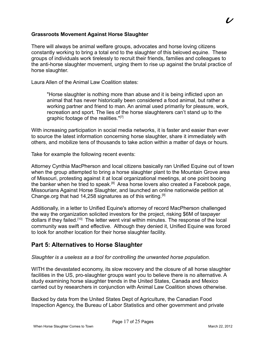#### **Grassroots Movement Against Horse Slaughter**

There will always be animal welfare groups, advocates and horse loving citizens constantly working to bring a total end to the slaughter of this beloved equine. These groups of individuals work tirelessly to recruit their friends, families and colleagues to the anti-horse slaughter movement, urging them to rise up against the brutal practice of horse slaughter.

Laura Allen of the Animal Law Coalition states:

"Horse slaughter is nothing more than abuse and it is being inflicted upon an animal that has never historically been considered a food animal, but rather a working partner and friend to man. An animal used primarily for pleasure, work, recreation and sport. The lies of the horse slaughterers can't stand up to the graphic footage of the realities."[7]

With increasing participation in social media networks, it is faster and easier than ever to source the latest information concerning horse slaughter, share it immediately with others, and mobilize tens of thousands to take action within a matter of days or hours.

Take for example the following recent events:

Attorney Cynthia MacPherson and local citizens basically ran Unified Equine out of town when the group attempted to bring a horse slaughter plant to the Mountain Grove area of Missouri, protesting against it at local organizational meetings, at one point booing the banker when he tried to speak.<sup>[8]</sup> Area horse lovers also created a Facebook page, Missourians Against Horse Slaughter, and launched an online nationwide petition at Change.org that had 14,258 signatures as of this writing.<sup>[9]</sup>

Additionally, in a letter to Unified Equine's attorney of record MacPherson challenged the way the organization solicited investors for the project, risking \$6M of taxpayer dollars if they failed.[10] The letter went viral within minutes. The response of the local community was swift and effective. Although they denied it, Unified Equine was forced to look for another location for their horse slaughter facility.

#### **Part 5: Alternatives to Horse Slaughter**

*Slaughter is a useless as a tool for controlling the unwanted horse population.*

WITH the devastated economy, its slow recovery and the closure of all horse slaughter facilities in the US, pro-slaughter groups want you to believe there is no alternative. A study examining horse slaughter trends in the United States, Canada and Mexico carried out by researchers in conjunction with Animal Law Coalition shows otherwise.

Backed by data from the United States Dept of Agriculture, the Canadian Food Inspection Agency, the Bureau of Labor Statistics and other government and private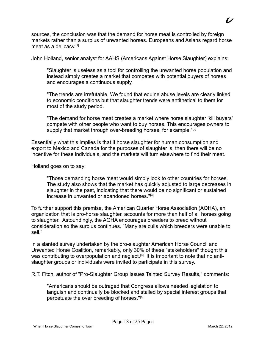sources, the conclusion was that the demand for horse meat is controlled by foreign markets rather than a surplus of unwanted horses. Europeans and Asians regard horse meat as a delicacy.<sup>[1]</sup>

John Holland, senior analyst for AAHS (Americans Against Horse Slaughter) explains:

"Slaughter is useless as a tool for controlling the unwanted horse population and instead simply creates a market that competes with potential buyers of horses and encourages a continuous supply.

"The trends are irrefutable. We found that equine abuse levels are clearly linked to economic conditions but that slaughter trends were antithetical to them for most of the study period.

"The demand for horse meat creates a market where horse slaughter 'kill buyers' compete with other people who want to buy horses. This encourages owners to supply that market through over-breeding horses, for example."<sup>[2]</sup>

Essentially what this implies is that if horse slaughter for human consumption and export to Mexico and Canada for the purposes of slaughter is, then there will be no incentive for these individuals, and the markets will turn elsewhere to find their meat.

Holland goes on to say:

"Those demanding horse meat would simply look to other countries for horses. The study also shows that the market has quickly adjusted to large decreases in slaughter in the past, indicating that there would be no significant or sustained increase in unwanted or abandoned horses."<sup>[3]</sup>

To further support this premise, the American Quarter Horse Association (AQHA), an organization that is pro-horse slaughter, accounts for more than half of all horses going to slaughter. Astoundingly, the AQHA encourages breeders to breed without consideration so the surplus continues. "Many are culls which breeders were unable to sell."

In a slanted survey undertaken by the pro-slaughter American Horse Council and Unwanted Horse Coalition, remarkably, only 30% of these "stakeholders" thought this was contributing to overpopulation and neglect.<sup>[4]</sup> It is important to note that no antislaughter groups or individuals were invited to participate in this survey.

R.T. Fitch, author of "Pro-Slaughter Group Issues Tainted Survey Results," comments:

"Americans should be outraged that Congress allows needed legislation to languish and continually be blocked and stalled by special interest groups that perpetuate the over breeding of horses."[5]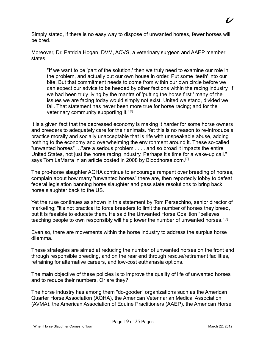Simply stated, if there is no easy way to dispose of unwanted horses, fewer horses will be bred.

Moreover, Dr. Patricia Hogan, DVM, ACVS, a veterinary surgeon and AAEP member states:

"If we want to be 'part of the solution,' then we truly need to examine our role in the problem, and actually put our own house in order. Put some 'teeth' into our bite. But that commitment needs to come from within our own circle before we can expect our advice to be heeded by other factions within the racing industry. If we had been truly living by the mantra of 'putting the horse first,' many of the issues we are facing today would simply not exist. United we stand, divided we fall. That statement has never been more true for horse racing; and for the veterinary community supporting it."<sup>[6]</sup>

It is a given fact that the depressed economy is making it harder for some horse owners and breeders to adequately care for their animals. Yet this is no reason to re-introduce a practice morally and socially unacceptable that is rife with unspeakable abuse, adding nothing to the economy and overwhelming the environment around it. These so-called "unwanted horses" …"are a serious problem . . . . and so broad it impacts the entire United States, not just the horse racing industry. Perhaps it's time for a wake-up call." says Tom LaMarra in an article posted in 2008 by Bloodhorse.com.<sup>[7]</sup>

The pro-horse slaughter AQHA continue to encourage rampant over breeding of horses, complain about how many "unwanted horses" there are, then reportedly lobby to defeat federal legislation banning horse slaughter and pass state resolutions to bring back horse slaughter back to the US.

Yet the ruse continues as shown in this statement by Tom Persechino, senior director of marketing; "it's not practical to force breeders to limit the number of horses they breed, but it is feasible to educate them. He said the Unwanted Horse Coalition "believes teaching people to own responsibly will help lower the number of unwanted horses."<sup>[8]</sup>

Even so, there are movements within the horse industry to address the surplus horse dilemma.

These strategies are aimed at reducing the number of unwanted horses on the front end through responsible breeding, and on the rear end through rescue/retirement facilities, retraining for alternative careers, and low-cost euthanasia options.

The main objective of these policies is to improve the quality of life of unwanted horses and to reduce their numbers. Or are they?

The horse industry has among them "do-gooder" organizations such as the American Quarter Horse Association (AQHA), the American Veterinarian Medical Association (AVMA), the American Association of Equine Practitioners (AAEP), the American Horse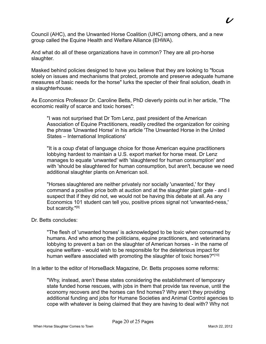Council (AHC), and the Unwanted Horse Coalition (UHC) among others, and a new group called the Equine Health and Welfare Alliance (EHWA).

And what do all of these organizations have in common? They are all pro-horse slaughter.

Masked behind policies designed to have you believe that they are looking to "focus solely on issues and mechanisms that protect, promote and preserve adequate humane measures of basic needs for the horse" lurks the specter of their final solution, death in a slaughterhouse.

As Economics Professor Dr. Caroline Betts, PhD cleverly points out in her article, "The economic reality of scarce and toxic horses":

"I was not surprised that Dr Tom Lenz, past president of the American Association of Equine Practitioners, readily credited the organization for coining the phrase 'Unwanted Horse' in his article 'The Unwanted Horse in the United States – International Implications'

"It is a coup d'etat of language choice for those American equine practitioners lobbying hardest to maintain a U.S. export market for horse meat. Dr Lenz manages to equate 'unwanted' with 'slaughtered for human consumption' and with 'should be slaughtered for human consumption, but aren't, because we need additional slaughter plants on American soil.

"Horses slaughtered are neither privately nor socially 'unwanted,' for they command a positive price both at auction and at the slaughter plant gate - and I suspect that if they did not, we would not be having this debate at all. As any Economics 101 student can tell you, positive prices signal not 'unwanted-ness,' but scarcity."<sup>[9]</sup>

#### Dr. Betts concludes:

"The flesh of 'unwanted horses' is acknowledged to be toxic when consumed by humans. And who among the politicians, equine practitioners, and veterinarians lobbying to prevent a ban on the slaughter of American horses - in the name of equine welfare - would wish to be responsible for the deleterious impact for human welfare associated with promoting the slaughter of toxic horses?"<sup>[10]</sup>

In a letter to the editor of HorseBack Magazine, Dr. Betts proposes some reforms:

"Why, instead, aren't these states considering the establishment of temporary state funded horse rescues, with jobs in them that provide tax revenue, until the economy recovers and the horses can find homes? Why aren't they providing additional funding and jobs for Humane Societies and Animal Control agencies to cope with whatever is being claimed that they are having to deal with? Why not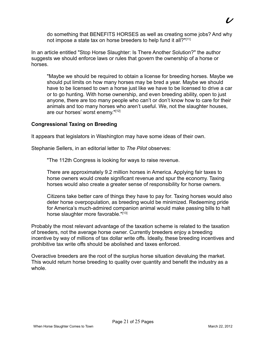do something that BENEFITS HORSES as well as creating some jobs? And why not impose a state tax on horse breeders to help fund it all?"[11]

In an article entitled "Stop Horse Slaughter: Is There Another Solution?" the author suggests we should enforce laws or rules that govern the ownership of a horse or horses.

"Maybe we should be required to obtain a license for breeding horses. Maybe we should put limits on how many horses may be bred a year. Maybe we should have to be licensed to own a horse just like we have to be licensed to drive a car or to go hunting. With horse ownership, and even breeding ability, open to just anyone, there are too many people who can't or don't know how to care for their animals and too many horses who aren't useful. We, not the slaughter houses, are our horses' worst enemy."[12]

#### **Congressional Taxing on Breeding**

It appears that legislators in Washington may have some ideas of their own.

Stephanie Sellers, in an editorial letter to *The Pilot* observes:

"The 112th Congress is looking for ways to raise revenue.

There are approximately 9.2 million horses in America. Applying fair taxes to horse owners would create significant revenue and spur the economy. Taxing horses would also create a greater sense of responsibility for horse owners.

Citizens take better care of things they have to pay for. Taxing horses would also deter horse overpopulation, as breeding would be minimized. Redeeming pride for America's much-admired companion animal would make passing bills to halt horse slaughter more favorable."[13]

Probably the most relevant advantage of the taxation scheme is related to the taxation of breeders, not the average horse owner. Currently breeders enjoy a breeding incentive by way of millions of tax dollar write offs. Ideally, these breeding incentives and prohibitive tax write offs should be abolished and taxes enforced.

Overactive breeders are the root of the surplus horse situation devaluing the market. This would return horse breeding to quality over quantity and benefit the industry as a whole.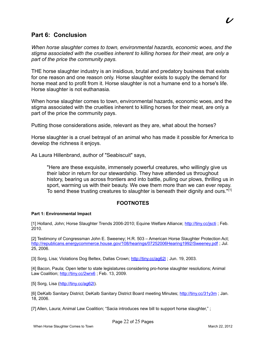#### **Part 6: Conclusion**

*When horse slaughter comes to town, environmental hazards, economic woes, and the stigma associated with the cruelties inherent to killing horses for their meat, are only a part of the price the community pays.*

THE horse slaughter industry is an insidious, brutal and predatory business that exists for one reason and one reason only. Horse slaughter exists to supply the demand for horse meat and to profit from it. Horse slaughter is not a humane end to a horse's life. Horse slaughter is not euthanasia.

When horse slaughter comes to town, environmental hazards, economic woes, and the stigma associated with the cruelties inherent to killing horses for their meat, are only a part of the price the community pays.

Putting those considerations aside, relevant as they are, what about the horses?

Horse slaughter is a cruel betrayal of an animal who has made it possible for America to develop the richness it enjoys.

As Laura Hillenbrand, author of "Seabiscuit" says,

"Here are these exquisite, immensely powerful creatures, who willingly give us their labor in return for our stewardship. They have attended us throughout history, bearing us across frontiers and into battle, pulling our plows, thrilling us in sport, warming us with their beauty. We owe them more than we can ever repay. To send these trusting creatures to slaughter is beneath their dignity and ours."<sup>[1]</sup>

#### **FOOTNOTES**

#### **Part 1: Environmental Impact**

[1] Holland, John; Horse Slaughter Trends 2006-2010; Equine Welfare Alliance; <http://tiny.cc/jscti>; Feb. 2010.

[2] Testimony of Congressman John E. Sweeney; H.R. 503 – American Horse Slaughter Protection Act; http://republicans.energycommerce.house.gov/108/hearings/07252006Hearing1992/Sweeney.pdf; Jul. 25, 2006.

[3] Sorg, Lisa; Violations Dog Beltex, Dallas Crown;<http://tiny.cc/ag62l>; Jun. 19, 2003.

[4] Bacon, Paula; Open letter to state legislatures considering pro-horse slaughter resolutions; Animal Law Coalition; http://tiny.cc/2wrx6; Feb. 13, 2009.

[5] Sorg, Lisa [\(http://tiny.cc/ag62l\)](http://tiny.cc/ag62l).

[6] DeKalb Sanitary District; DeKalb Sanitary District Board meeting Minutes;<http://tiny.cc/31y3m>; Jan. 18, 2006.

Page 22 of 25 Pages

[7] Allen, Laura; Animal Law Coalition; "Sacia introduces new bill to support horse slaughter," ;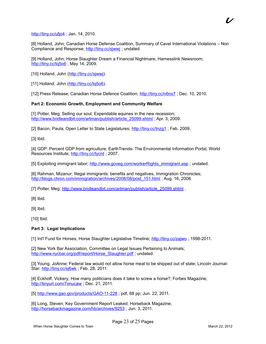#### <http://tiny.cc/ufjo4>; Jan. 14, 2010.

[8] Holland, John; Canadian Horse Defense Coalition, Summary of Cavel International Violations – Non Compliance and Response; http://tiny.cc/sjwwj; undated.

[9] Holland, John; Horse Slaughter Dream a Financial Nightmare; Harnesslink Newsroom; <http://tiny.cc/tq5o6>; May 14, 2009.

[10] Holland, John [\(http://tiny.cc/sjwwj\)](http://tiny.cc/sjwwj).

[11] Holland, John [\(http://tiny.cc/tq5o6\)](http://tiny.cc/tq5o6).

[12] Press Release; Canadian Horse Defence Coalition;<http://tiny.cc/n6nx7>; Dec. 10, 2010.

#### **Part 2: Economic Growth, Employment and Community Welfare**

[1] Potter, Meg; Selling our soul; Expendable equines in the new recession; [http://www.bridleandbit.com/artman/publish/article\\_25099.shtml](http://www.bridleandbit.com/artman/publish/article_25099.shtml) ; Apr. 3, 2009.

[2] Bacon, Paula; Open Letter to State Legislatures; http://tiny.cc/tnzg1; Feb. 2009.

[3] Ibid.

[4] GDP: Percent GDP from agriculture; EarthTrends- The Environmental Information Portal, World Resources Institute; http://tiny.cc/tycrd; 2007.

[5] Exploiting immigrant labor; [http://www.goveg.com/workerRights\\_immigrant.asp](http://www.goveg.com/workerRights_immigrant.asp) ; undated.

[6] Rahman, Mizanur; Illegal immigrants: benefits and negatives, Immigration Chronicles; [http://blogs.chron.com/immigration/archives/2008/08/post\\_151.html](http://blogs.chron.com/immigration/archives/2008/08/post_151.html) ; Aug. 16, 2008.

[7] Potter, Meg; [http://www.bridleandbit.com/artman/publish/article\\_25099.shtml](http://www.bridleandbit.com/artman/publish/article_25099.shtml) .

[8] Ibid.

[9] Ibid.

[10] Ibid.

#### **Part 3: Legal Implications**

[1] Int'l Fund for Horses; Horse Slaughter Legislative Timeline;<http://tiny.cc/zajwo>; 1998-2011.

[2] New York Bar Association, Committee on Legal Issues Pertaining to Animals; [http://www.nycbar.org/pdf/report/Horse\\_Slaughter.pdf](http://www.nycbar.org/pdf/report/Horse_Slaughter.pdf) ; undated.

[3] Young, JoAnne; Federal law would not allow horse meat to be shipped out of state; Lincoln Journal-Star;<http://tiny.cc/sj6wk>; Feb. 28, 2011.

[4] Eckhoff, Vickery; How many politicians does it take to screw a horse?; Forbes Magazine; <http://tinyurl.com/7onucaw> ; Dec. 21, 2011.

[5] http://www.gao.gov/products/GAO-11-228; pdf, 68 pp; Jun. 22, 2011.

[6] Long, Steven; Key Government Report Leaked; Horseback Magazine; http://horsebackmagazine.com/hb/archives/9253; Jun. 3, 2011.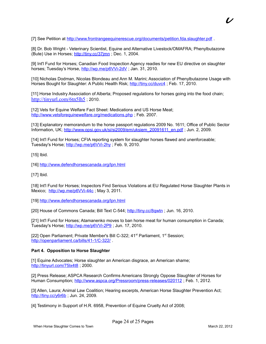[7] See Petition at<http://www.frontrangeequinerescue.org/documents/petition.fda.slaughter.pdf> .

[8] Dr. Bob Wright - Veterinary Scientist, Equine and Alternative Livestock/OMAFRA; Phenylbutazone (Bute) Use in Horses;<http://tiny.cc/37jmn>; Dec. 1, 2004.

[9] Int'l Fund for Horses; Canadian Food Inspection Agency readies for new EU directive on slaughter horses; Tuesday's Horse, http://wp.me/p6VVi-2dV; Jan. 31, 2010.

[10] Nicholas Dodman, Nicolas Blondeau and Ann M. Marini; Association of Phenylbutazone Usage with Horses Bought for Slaughter: A Public Health Risk; http://tiny.cc/duvc4; Feb. 17, 2010.

[11] Horse Industry Association of Alberta; Proposed regulations for horses going into the food chain; <http://tinyurl.com/6tn5lh5> ; 2010.

[12] Vets for Equine Welfare Fact Sheet: Medications and US Horse Meat; <http://www.vetsforequinewelfare.org/medications.php>; Feb. 2007.

[13] Explanatory memorandum to the horse passport regulations 2009 No. 1611; Office of Public Sector Information, UK; [http://www.opsi.gov.uk/si/si2009/em/uksiem\\_20091611\\_en.pdf](http://www.opsi.gov.uk/si/si2009/em/uksiem_20091611_en.pdf) ; Jun. 2, 2009.

[14] Int'l Fund for Horses; CFIA reporting system for slaughter horses flawed and unenforceable; Tuesday's Horse;<http://wp.me/p6VVi-2hy>; Feb. 9, 2010.

[15] Ibid.

[16] http://www.defendhorsescanada.org/lpn.html

[17] Ibid.

[18] Int'l Fund for Horses; Inspectors Find Serious Violations at EU Regulated Horse Slaughter Plants in Mexico; http://wp.me/p6VVi-44c; May 3, 2011.

[19]<http://www.defendhorsescanada.org/lpn.html>

[20] House of Commons Canada; Bill Text C-544;<http://tiny.cc/8qwtn>; Jun. 16, 2010.

[21] Int'l Fund for Horses; Atamanenko moves to ban horse meat for human consumption in Canada; Tuesday's Horse;<http://wp.me/p6VVi-2P9>; Jun. 17, 2010.

[22] Open Parliament; Private Member's Bill C-322; 41<sup>st</sup> Parliament, 1<sup>st</sup> Session; <http://openparliament.ca/bills/41-1/C-322/>.

#### **Part 4. Opposition to Horse Slaughter**

[1] Equine Advocates; Horse slaughter an American disgrace, an American shame; <http://tinyurl.com/75lx4t8> ; 2000.

[2] Press Release; ASPCA Research Confirms Americans Strongly Oppose Slaughter of Horses for Human Consumption;<http://www.aspca.org/Pressroom/press-releases/020112>; Feb. 1, 2012.

[3] Allen, Laura; Animal Law Coalition; Hearing excerpts, American Horse Slaughter Prevention Act; <http://tiny.cc/y6r6b>; Jun. 24, 2009.

[4] Testimony in Support of H.R. 6958, Prevention of Equine Cruelty Act of 2008;